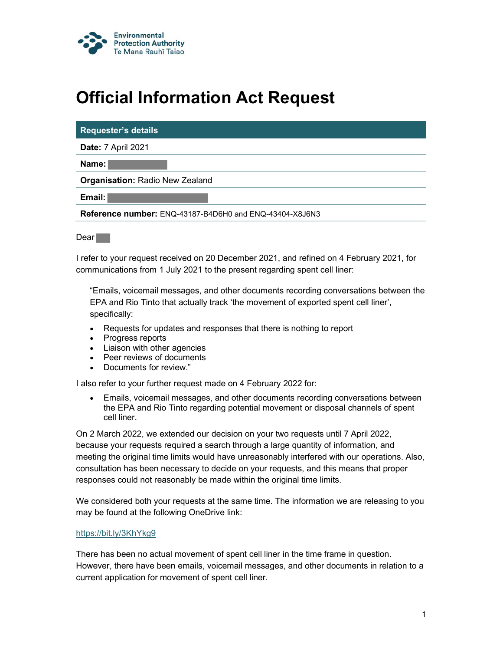

## Official Information Act Request

| <b>Requester's details</b>                              |
|---------------------------------------------------------|
| <b>Date: 7 April 2021</b>                               |
| Name:                                                   |
| <b>Organisation: Radio New Zealand</b>                  |
| Email:                                                  |
| Reference number: ENQ-43187-B4D6H0 and ENQ-43404-X8J6N3 |

Dear **Dear** 

I refer to your request received on 20 December 2021, and refined on 4 February 2021, for communications from 1 July 2021 to the present regarding spent cell liner:

"Emails, voicemail messages, and other documents recording conversations between the EPA and Rio Tinto that actually track 'the movement of exported spent cell liner', specifically:

- Requests for updates and responses that there is nothing to report
- Progress reports
- Liaison with other agencies
- Peer reviews of documents
- Documents for review."

I also refer to your further request made on 4 February 2022 for:

 Emails, voicemail messages, and other documents recording conversations between the EPA and Rio Tinto regarding potential movement or disposal channels of spent cell liner.

On 2 March 2022, we extended our decision on your two requests until 7 April 2022, because your requests required a search through a large quantity of information, and meeting the original time limits would have unreasonably interfered with our operations. Also, consultation has been necessary to decide on your requests, and this means that proper responses could not reasonably be made within the original time limits.

We considered both your requests at the same time. The information we are releasing to you may be found at the following OneDrive link:

## https://bit.ly/3KhYkg9

There has been no actual movement of spent cell liner in the time frame in question. However, there have been emails, voicemail messages, and other documents in relation to a current application for movement of spent cell liner.